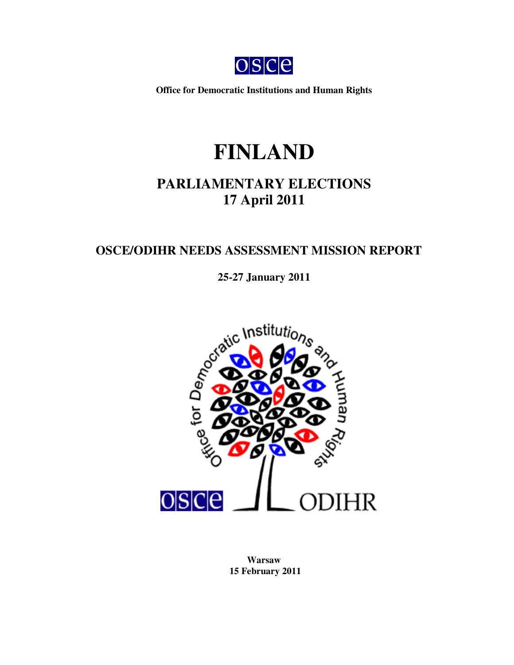

**Office for Democratic Institutions and Human Rights**

# **FINLAND**

# **PARLIAMENTARY ELECTIONS 17 April 2011**

# **OSCE/ODIHR NEEDS ASSESSMENT MISSION REPORT**



**Warsaw 15 February 2011**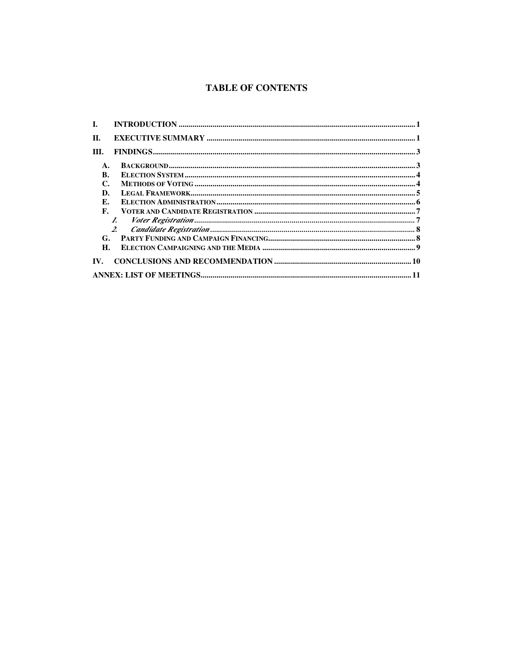# **TABLE OF CONTENTS**

| L.             |                |  |
|----------------|----------------|--|
| П.             |                |  |
| III.           |                |  |
| $\mathbf{A}$ . |                |  |
| B.             |                |  |
| C.             |                |  |
| D.             |                |  |
| E.             |                |  |
| F.             |                |  |
|                |                |  |
|                | 2 <sup>1</sup> |  |
|                |                |  |
| H.             |                |  |
| IV.            |                |  |
|                |                |  |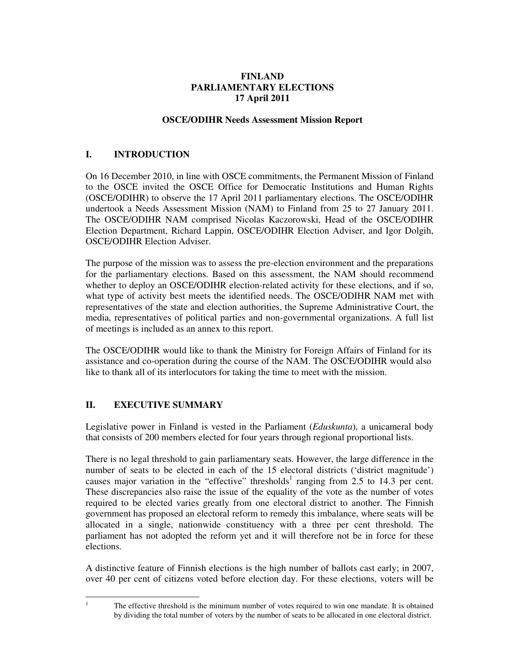# **FINLAND PARLIAMENTARY ELECTIONS 17 April 2011**

# **OSCE/ODIHR Needs Assessment Mission Report**

# **I. INTRODUCTION**

On 16 December 2010, in line with OSCE commitments, the Permanent Mission of Finland to the OSCE invited the OSCE Office for Democratic Institutions and Human Rights (OSCE/ODIHR) to observe the 17 April 2011 parliamentary elections. The OSCE/ODIHR undertook a Needs Assessment Mission (NAM) to Finland from 25 to 27 January 2011. The OSCE/ODIHR NAM comprised Nicolas Kaczorowski, Head of the OSCE/ODIHR Election Department, Richard Lappin, OSCE/ODIHR Election Adviser, and Igor Dolgih, OSCE/ODIHR Election Adviser.

The purpose of the mission was to assess the pre-election environment and the preparations for the parliamentary elections. Based on this assessment, the NAM should recommend whether to deploy an OSCE/ODIHR election-related activity for these elections, and if so, what type of activity best meets the identified needs. The OSCE/ODIHR NAM met with representatives of the state and election authorities, the Supreme Administrative Court, the media, representatives of political parties and non-governmental organizations. A full list of meetings is included as an annex to this report.

The OSCE/ODIHR would like to thank the Ministry for Foreign Affairs of Finland for its assistance and co-operation during the course of the NAM. The OSCE/ODIHR would also like to thank all of its interlocutors for taking the time to meet with the mission.

# **II. EXECUTIVE SUMMARY**

Legislative power in Finland is vested in the Parliament (*Eduskunta*), a unicameral body that consists of 200 members elected for four years through regional proportional lists.

There is no legal threshold to gain parliamentary seats. However, the large difference in the number of seats to be elected in each of the 15 electoral districts ('district magnitude') causes major variation in the "effective" thresholds<sup>1</sup> ranging from 2.5 to 14.3 per cent. These discrepancies also raise the issue of the equality of the vote as the number of votes required to be elected varies greatly from one electoral district to another. The Finnish government has proposed an electoral reform to remedy this imbalance, where seats will be allocated in a single, nationwide constituency with a three per cent threshold. The parliament has not adopted the reform yet and it will therefore not be in force for these elections.

A distinctive feature of Finnish elections is the high number of ballots cast early; in 2007, over 40 per cent of citizens voted before election day. For these elections, voters will be

 The effective threshold is the minimum number of votes required to win one mandate. It is obtained by dividing the total number of voters by the number of seats to be allocated in one electoral district.

 $\frac{1}{1}$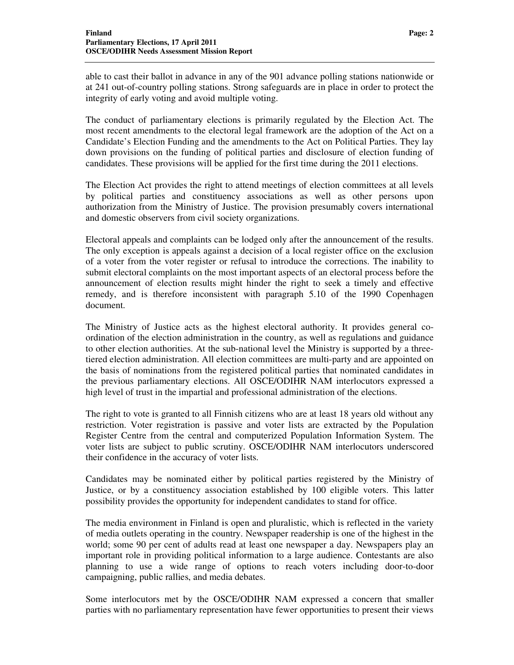able to cast their ballot in advance in any of the 901 advance polling stations nationwide or at 241 out-of-country polling stations. Strong safeguards are in place in order to protect the integrity of early voting and avoid multiple voting.

The conduct of parliamentary elections is primarily regulated by the Election Act. The most recent amendments to the electoral legal framework are the adoption of the Act on a Candidate's Election Funding and the amendments to the Act on Political Parties. They lay down provisions on the funding of political parties and disclosure of election funding of candidates. These provisions will be applied for the first time during the 2011 elections.

The Election Act provides the right to attend meetings of election committees at all levels by political parties and constituency associations as well as other persons upon authorization from the Ministry of Justice. The provision presumably covers international and domestic observers from civil society organizations.

Electoral appeals and complaints can be lodged only after the announcement of the results. The only exception is appeals against a decision of a local register office on the exclusion of a voter from the voter register or refusal to introduce the corrections. The inability to submit electoral complaints on the most important aspects of an electoral process before the announcement of election results might hinder the right to seek a timely and effective remedy, and is therefore inconsistent with paragraph 5.10 of the 1990 Copenhagen document.

The Ministry of Justice acts as the highest electoral authority. It provides general coordination of the election administration in the country, as well as regulations and guidance to other election authorities. At the sub-national level the Ministry is supported by a threetiered election administration. All election committees are multi-party and are appointed on the basis of nominations from the registered political parties that nominated candidates in the previous parliamentary elections. All OSCE/ODIHR NAM interlocutors expressed a high level of trust in the impartial and professional administration of the elections.

The right to vote is granted to all Finnish citizens who are at least 18 years old without any restriction. Voter registration is passive and voter lists are extracted by the Population Register Centre from the central and computerized Population Information System. The voter lists are subject to public scrutiny. OSCE/ODIHR NAM interlocutors underscored their confidence in the accuracy of voter lists.

Candidates may be nominated either by political parties registered by the Ministry of Justice, or by a constituency association established by 100 eligible voters. This latter possibility provides the opportunity for independent candidates to stand for office.

The media environment in Finland is open and pluralistic, which is reflected in the variety of media outlets operating in the country. Newspaper readership is one of the highest in the world; some 90 per cent of adults read at least one newspaper a day. Newspapers play an important role in providing political information to a large audience. Contestants are also planning to use a wide range of options to reach voters including door-to-door campaigning, public rallies, and media debates.

Some interlocutors met by the OSCE/ODIHR NAM expressed a concern that smaller parties with no parliamentary representation have fewer opportunities to present their views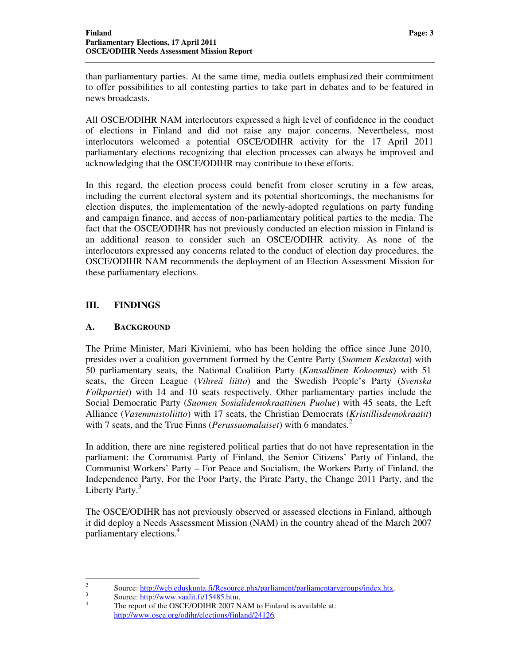than parliamentary parties. At the same time, media outlets emphasized their commitment to offer possibilities to all contesting parties to take part in debates and to be featured in news broadcasts.

All OSCE/ODIHR NAM interlocutors expressed a high level of confidence in the conduct of elections in Finland and did not raise any major concerns. Nevertheless, most interlocutors welcomed a potential OSCE/ODIHR activity for the 17 April 2011 parliamentary elections recognizing that election processes can always be improved and acknowledging that the OSCE/ODIHR may contribute to these efforts.

In this regard, the election process could benefit from closer scrutiny in a few areas, including the current electoral system and its potential shortcomings, the mechanisms for election disputes, the implementation of the newly-adopted regulations on party funding and campaign finance, and access of non-parliamentary political parties to the media. The fact that the OSCE/ODIHR has not previously conducted an election mission in Finland is an additional reason to consider such an OSCE/ODIHR activity. As none of the interlocutors expressed any concerns related to the conduct of election day procedures, the OSCE/ODIHR NAM recommends the deployment of an Election Assessment Mission for these parliamentary elections.

# **III. FINDINGS**

#### **A. BACKGROUND**

The Prime Minister, Mari Kiviniemi, who has been holding the office since June 2010, presides over a coalition government formed by the Centre Party (*Suomen Keskusta*) with 50 parliamentary seats, the National Coalition Party (*Kansallinen Kokoomus*) with 51 seats, the Green League (*Vihreä liitto*) and the Swedish People's Party (*Svenska Folkpartiet*) with 14 and 10 seats respectively. Other parliamentary parties include the Social Democratic Party (*Suomen Sosialidemokraattinen Puolue*) with 45 seats, the Left Alliance (*Vasemmistoliitto*) with 17 seats, the Christian Democrats (*Kristillisdemokraatit*) with 7 seats, and the True Finns (*Perussuomalaiset*) with 6 mandates.<sup>2</sup>

In addition, there are nine registered political parties that do not have representation in the parliament: the Communist Party of Finland, the Senior Citizens' Party of Finland, the Communist Workers' Party – For Peace and Socialism, the Workers Party of Finland, the Independence Party, For the Poor Party, the Pirate Party, the Change 2011 Party, and the Liberty Party.<sup>3</sup>

The OSCE/ODIHR has not previously observed or assessed elections in Finland, although it did deploy a Needs Assessment Mission (NAM) in the country ahead of the March 2007 parliamentary elections.<sup>4</sup>

 $\frac{1}{2}$ 

Source: http://web.eduskunta.fi/Resource.phx/parliament/parliamentarygroups/index.htx.

<sup>3</sup> Source: http://www.vaalit.fi/15485.htm.

<sup>4</sup> The report of the OSCE/ODIHR 2007 NAM to Finland is available at: http://www.osce.org/odihr/elections/finland/24126.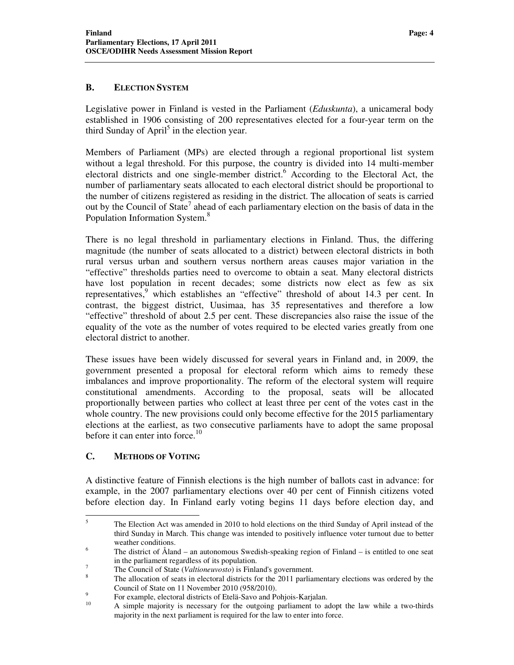# **B. ELECTION SYSTEM**

Legislative power in Finland is vested in the Parliament (*Eduskunta*), a unicameral body established in 1906 consisting of 200 representatives elected for a four-year term on the third Sunday of April<sup>5</sup> in the election year.

Members of Parliament (MPs) are elected through a regional proportional list system without a legal threshold. For this purpose, the country is divided into 14 multi-member electoral districts and one single-member district.<sup>6</sup> According to the Electoral Act, the number of parliamentary seats allocated to each electoral district should be proportional to the number of citizens registered as residing in the district. The allocation of seats is carried out by the Council of State<sup>7</sup> ahead of each parliamentary election on the basis of data in the Population Information System.<sup>8</sup>

There is no legal threshold in parliamentary elections in Finland. Thus, the differing magnitude (the number of seats allocated to a district) between electoral districts in both rural versus urban and southern versus northern areas causes major variation in the "effective" thresholds parties need to overcome to obtain a seat. Many electoral districts have lost population in recent decades; some districts now elect as few as six representatives,<sup>9</sup> which establishes an "effective" threshold of about 14.3 per cent. In contrast, the biggest district, Uusimaa, has 35 representatives and therefore a low "effective" threshold of about 2.5 per cent. These discrepancies also raise the issue of the equality of the vote as the number of votes required to be elected varies greatly from one electoral district to another.

These issues have been widely discussed for several years in Finland and, in 2009, the government presented a proposal for electoral reform which aims to remedy these imbalances and improve proportionality. The reform of the electoral system will require constitutional amendments. According to the proposal, seats will be allocated proportionally between parties who collect at least three per cent of the votes cast in the whole country. The new provisions could only become effective for the 2015 parliamentary elections at the earliest, as two consecutive parliaments have to adopt the same proposal before it can enter into force.<sup>10</sup>

### **C. METHODS OF VOTING**

A distinctive feature of Finnish elections is the high number of ballots cast in advance: for example, in the 2007 parliamentary elections over 40 per cent of Finnish citizens voted before election day. In Finland early voting begins 11 days before election day, and

 5 The Election Act was amended in 2010 to hold elections on the third Sunday of April instead of the third Sunday in March. This change was intended to positively influence voter turnout due to better weather conditions.

<sup>6</sup> The district of Åland – an autonomous Swedish-speaking region of Finland – is entitled to one seat in the parliament regardless of its population.

<sup>7</sup> The Council of State (*Valtioneuvosto*) is Finland's government.

<sup>8</sup> The allocation of seats in electoral districts for the 2011 parliamentary elections was ordered by the Council of State on 11 November 2010 (958/2010).

<sup>9</sup> <sup>9</sup> For example, electoral districts of Etelä-Savo and Pohjois-Karjalan.

<sup>10</sup> A simple majority is necessary for the outgoing parliament to adopt the law while a two-thirds majority in the next parliament is required for the law to enter into force.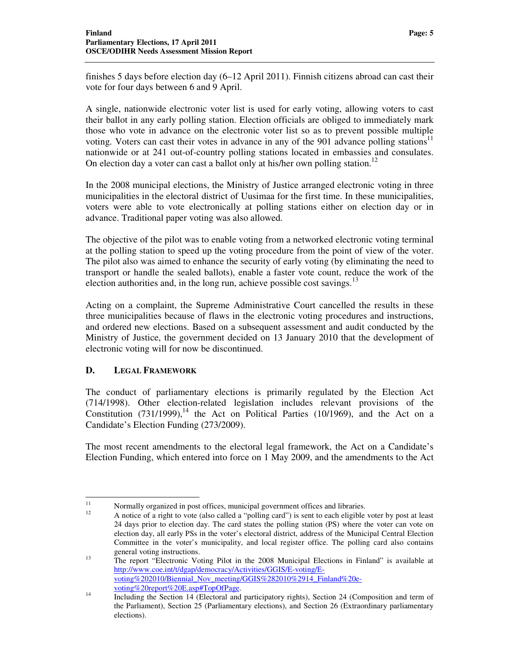finishes 5 days before election day (6–12 April 2011). Finnish citizens abroad can cast their vote for four days between 6 and 9 April.

A single, nationwide electronic voter list is used for early voting, allowing voters to cast their ballot in any early polling station. Election officials are obliged to immediately mark those who vote in advance on the electronic voter list so as to prevent possible multiple voting. Voters can cast their votes in advance in any of the 901 advance polling stations<sup>11</sup> nationwide or at 241 out-of-country polling stations located in embassies and consulates. On election day a voter can cast a ballot only at his/her own polling station.<sup>12</sup>

In the 2008 municipal elections, the Ministry of Justice arranged electronic voting in three municipalities in the electoral district of Uusimaa for the first time. In these municipalities, voters were able to vote electronically at polling stations either on election day or in advance. Traditional paper voting was also allowed.

The objective of the pilot was to enable voting from a networked electronic voting terminal at the polling station to speed up the voting procedure from the point of view of the voter. The pilot also was aimed to enhance the security of early voting (by eliminating the need to transport or handle the sealed ballots), enable a faster vote count, reduce the work of the election authorities and, in the long run, achieve possible cost savings.<sup>13</sup>

Acting on a complaint, the Supreme Administrative Court cancelled the results in these three municipalities because of flaws in the electronic voting procedures and instructions, and ordered new elections. Based on a subsequent assessment and audit conducted by the Ministry of Justice, the government decided on 13 January 2010 that the development of electronic voting will for now be discontinued.

# **D. LEGAL FRAMEWORK**

The conduct of parliamentary elections is primarily regulated by the Election Act (714/1998). Other election-related legislation includes relevant provisions of the Constitution  $(731/1999)$ ,<sup>14</sup> the Act on Political Parties  $(10/1969)$ , and the Act on a Candidate's Election Funding (273/2009).

The most recent amendments to the electoral legal framework, the Act on a Candidate's Election Funding, which entered into force on 1 May 2009, and the amendments to the Act

 $11$  $\frac{11}{12}$  Normally organized in post offices, municipal government offices and libraries.

<sup>12</sup> A notice of a right to vote (also called a "polling card") is sent to each eligible voter by post at least 24 days prior to election day. The card states the polling station (PS) where the voter can vote on election day, all early PSs in the voter's electoral district, address of the Municipal Central Election Committee in the voter's municipality, and local register office. The polling card also contains general voting instructions.

<sup>&</sup>lt;sup>13</sup> The report "Electronic Voting Pilot in the 2008 Municipal Elections in Finland" is available at http://www.coe.int/t/dgap/democracy/Activities/GGIS/E-voting/Evoting%202010/Biennial\_Nov\_meeting/GGIS%282010%2914\_Finland%20evoting%20report%20E.asp#TopOfPage.

<sup>&</sup>lt;sup>14</sup> Including the Section 14 (Electoral and participatory rights), Section 24 (Composition and term of the Parliament), Section 25 (Parliamentary elections), and Section 26 (Extraordinary parliamentary elections).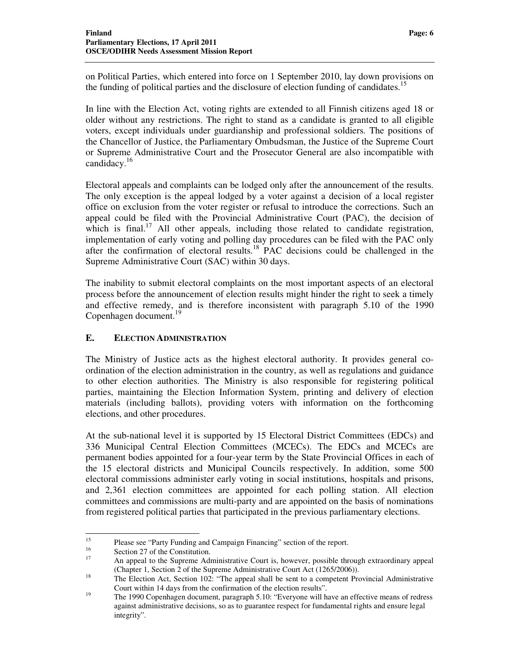on Political Parties, which entered into force on 1 September 2010, lay down provisions on the funding of political parties and the disclosure of election funding of candidates.<sup>15</sup>

In line with the Election Act, voting rights are extended to all Finnish citizens aged 18 or older without any restrictions. The right to stand as a candidate is granted to all eligible voters, except individuals under guardianship and professional soldiers. The positions of the Chancellor of Justice, the Parliamentary Ombudsman, the Justice of the Supreme Court or Supreme Administrative Court and the Prosecutor General are also incompatible with candidacy.<sup>16</sup>

Electoral appeals and complaints can be lodged only after the announcement of the results. The only exception is the appeal lodged by a voter against a decision of a local register office on exclusion from the voter register or refusal to introduce the corrections. Such an appeal could be filed with the Provincial Administrative Court (PAC), the decision of which is final.<sup>17</sup> All other appeals, including those related to candidate registration, implementation of early voting and polling day procedures can be filed with the PAC only after the confirmation of electoral results.<sup>18</sup> PAC decisions could be challenged in the Supreme Administrative Court (SAC) within 30 days.

The inability to submit electoral complaints on the most important aspects of an electoral process before the announcement of election results might hinder the right to seek a timely and effective remedy, and is therefore inconsistent with paragraph 5.10 of the 1990 Copenhagen document.<sup>19</sup>

# **E. ELECTION ADMINISTRATION**

The Ministry of Justice acts as the highest electoral authority. It provides general coordination of the election administration in the country, as well as regulations and guidance to other election authorities. The Ministry is also responsible for registering political parties, maintaining the Election Information System, printing and delivery of election materials (including ballots), providing voters with information on the forthcoming elections, and other procedures.

At the sub-national level it is supported by 15 Electoral District Committees (EDCs) and 336 Municipal Central Election Committees (MCECs). The EDCs and MCECs are permanent bodies appointed for a four-year term by the State Provincial Offices in each of the 15 electoral districts and Municipal Councils respectively. In addition, some 500 electoral commissions administer early voting in social institutions, hospitals and prisons, and 2,361 election committees are appointed for each polling station. All election committees and commissions are multi-party and are appointed on the basis of nominations from registered political parties that participated in the previous parliamentary elections.

 $15$ <sup>15</sup> Please see "Party Funding and Campaign Financing" section of the report.

<sup>&</sup>lt;sup>16</sup> Section 27 of the Constitution.

<sup>17</sup> An appeal to the Supreme Administrative Court is, however, possible through extraordinary appeal (Chapter 1, Section 2 of the Supreme Administrative Court Act (1265/2006)).

<sup>&</sup>lt;sup>18</sup> The Election Act, Section 102: "The appeal shall be sent to a competent Provincial Administrative Court within 14 days from the confirmation of the election results".

<sup>&</sup>lt;sup>19</sup> The 1990 Copenhagen document, paragraph 5.10: "Everyone will have an effective means of redress against administrative decisions, so as to guarantee respect for fundamental rights and ensure legal integrity".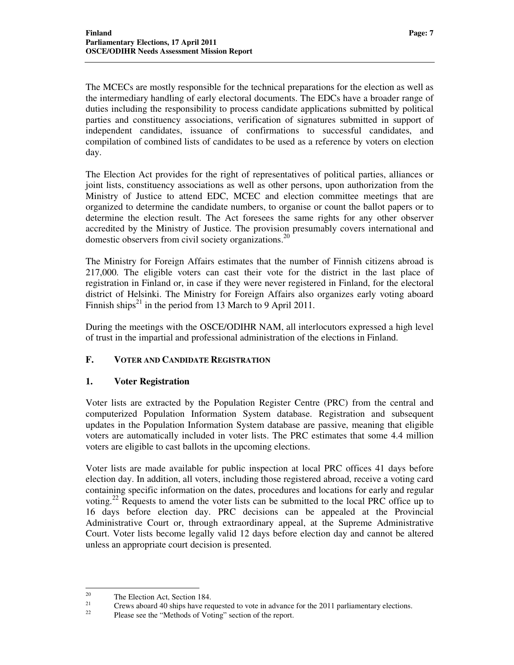The MCECs are mostly responsible for the technical preparations for the election as well as the intermediary handling of early electoral documents. The EDCs have a broader range of duties including the responsibility to process candidate applications submitted by political parties and constituency associations, verification of signatures submitted in support of independent candidates, issuance of confirmations to successful candidates, and compilation of combined lists of candidates to be used as a reference by voters on election day.

The Election Act provides for the right of representatives of political parties, alliances or joint lists, constituency associations as well as other persons, upon authorization from the Ministry of Justice to attend EDC, MCEC and election committee meetings that are organized to determine the candidate numbers, to organise or count the ballot papers or to determine the election result. The Act foresees the same rights for any other observer accredited by the Ministry of Justice. The provision presumably covers international and domestic observers from civil society organizations. 20

The Ministry for Foreign Affairs estimates that the number of Finnish citizens abroad is 217,000. The eligible voters can cast their vote for the district in the last place of registration in Finland or, in case if they were never registered in Finland, for the electoral district of Helsinki. The Ministry for Foreign Affairs also organizes early voting aboard Finnish ships<sup>21</sup> in the period from 13 March to 9 April 2011.

During the meetings with the OSCE/ODIHR NAM, all interlocutors expressed a high level of trust in the impartial and professional administration of the elections in Finland.

# **F. VOTER AND CANDIDATE REGISTRATION**

# **1. Voter Registration**

Voter lists are extracted by the Population Register Centre (PRC) from the central and computerized Population Information System database. Registration and subsequent updates in the Population Information System database are passive, meaning that eligible voters are automatically included in voter lists. The PRC estimates that some 4.4 million voters are eligible to cast ballots in the upcoming elections.

Voter lists are made available for public inspection at local PRC offices 41 days before election day. In addition, all voters, including those registered abroad, receive a voting card containing specific information on the dates, procedures and locations for early and regular voting.<sup>22</sup> Requests to amend the voter lists can be submitted to the local PRC office up to 16 days before election day. PRC decisions can be appealed at the Provincial Administrative Court or, through extraordinary appeal, at the Supreme Administrative Court. Voter lists become legally valid 12 days before election day and cannot be altered unless an appropriate court decision is presented.

<sup>20</sup> <sup>20</sup> The Election Act, Section 184.

<sup>&</sup>lt;sup>21</sup> Crews aboard 40 ships have requested to vote in advance for the 2011 parliamentary elections.

Please see the "Methods of Voting" section of the report.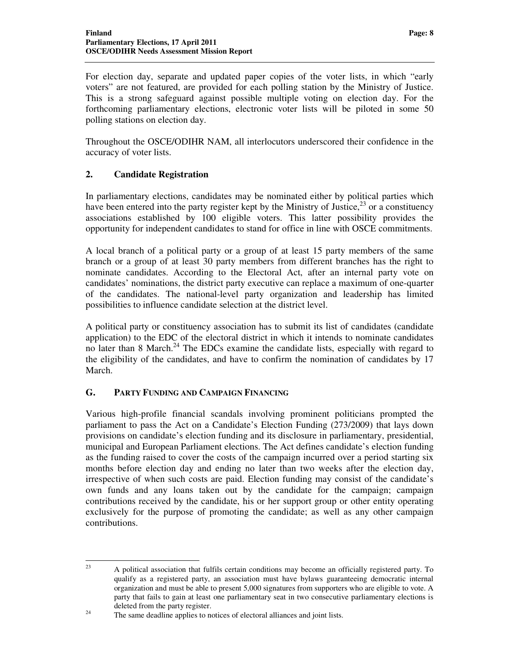For election day, separate and updated paper copies of the voter lists, in which "early voters" are not featured, are provided for each polling station by the Ministry of Justice. This is a strong safeguard against possible multiple voting on election day. For the forthcoming parliamentary elections, electronic voter lists will be piloted in some 50 polling stations on election day.

Throughout the OSCE/ODIHR NAM, all interlocutors underscored their confidence in the accuracy of voter lists.

# **2. Candidate Registration**

In parliamentary elections, candidates may be nominated either by political parties which have been entered into the party register kept by the Ministry of Justice,  $^{23}$  or a constituency associations established by 100 eligible voters. This latter possibility provides the opportunity for independent candidates to stand for office in line with OSCE commitments.

A local branch of a political party or a group of at least 15 party members of the same branch or a group of at least 30 party members from different branches has the right to nominate candidates. According to the Electoral Act, after an internal party vote on candidates' nominations, the district party executive can replace a maximum of one-quarter of the candidates. The national-level party organization and leadership has limited possibilities to influence candidate selection at the district level.

A political party or constituency association has to submit its list of candidates (candidate application) to the EDC of the electoral district in which it intends to nominate candidates no later than 8 March.<sup>24</sup> The EDCs examine the candidate lists, especially with regard to the eligibility of the candidates, and have to confirm the nomination of candidates by 17 March.

#### **G. PARTY FUNDING AND CAMPAIGN FINANCING**

Various high-profile financial scandals involving prominent politicians prompted the parliament to pass the Act on a Candidate's Election Funding (273/2009) that lays down provisions on candidate's election funding and its disclosure in parliamentary, presidential, municipal and European Parliament elections. The Act defines candidate's election funding as the funding raised to cover the costs of the campaign incurred over a period starting six months before election day and ending no later than two weeks after the election day, irrespective of when such costs are paid. Election funding may consist of the candidate's own funds and any loans taken out by the candidate for the campaign; campaign contributions received by the candidate, his or her support group or other entity operating exclusively for the purpose of promoting the candidate; as well as any other campaign contributions.

 $23$ <sup>23</sup> A political association that fulfils certain conditions may become an officially registered party. To qualify as a registered party, an association must have bylaws guaranteeing democratic internal organization and must be able to present 5,000 signatures from supporters who are eligible to vote. A party that fails to gain at least one parliamentary seat in two consecutive parliamentary elections is deleted from the party register.

 $24$  The same deadline applies to notices of electoral alliances and joint lists.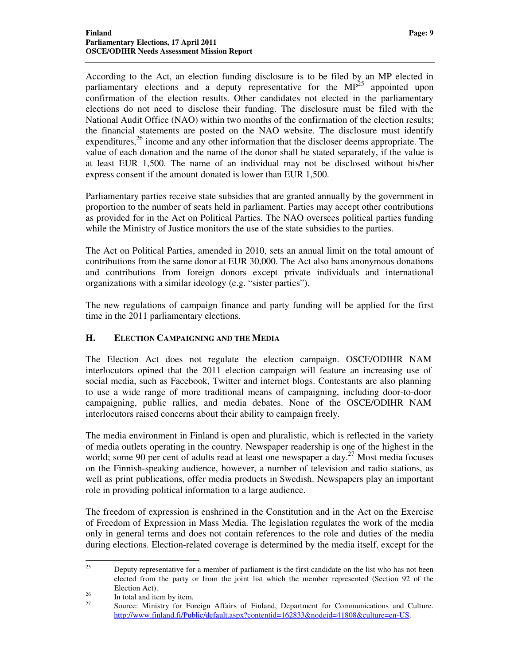According to the Act, an election funding disclosure is to be filed by an MP elected in parliamentary elections and a deputy representative for the  $MP<sup>25</sup>$  appointed upon confirmation of the election results. Other candidates not elected in the parliamentary elections do not need to disclose their funding. The disclosure must be filed with the National Audit Office (NAO) within two months of the confirmation of the election results; the financial statements are posted on the NAO website. The disclosure must identify expenditures, $^{26}$  income and any other information that the discloser deems appropriate. The value of each donation and the name of the donor shall be stated separately, if the value is at least EUR 1,500. The name of an individual may not be disclosed without his/her express consent if the amount donated is lower than EUR 1,500.

Parliamentary parties receive state subsidies that are granted annually by the government in proportion to the number of seats held in parliament. Parties may accept other contributions as provided for in the Act on Political Parties. The NAO oversees political parties funding while the Ministry of Justice monitors the use of the state subsidies to the parties.

The Act on Political Parties, amended in 2010, sets an annual limit on the total amount of contributions from the same donor at EUR 30,000. The Act also bans anonymous donations and contributions from foreign donors except private individuals and international organizations with a similar ideology (e.g. "sister parties").

The new regulations of campaign finance and party funding will be applied for the first time in the 2011 parliamentary elections.

# **H. ELECTION CAMPAIGNING AND THE MEDIA**

The Election Act does not regulate the election campaign. OSCE/ODIHR NAM interlocutors opined that the 2011 election campaign will feature an increasing use of social media, such as Facebook, Twitter and internet blogs. Contestants are also planning to use a wide range of more traditional means of campaigning, including door-to-door campaigning, public rallies, and media debates. None of the OSCE/ODIHR NAM interlocutors raised concerns about their ability to campaign freely.

The media environment in Finland is open and pluralistic, which is reflected in the variety of media outlets operating in the country. Newspaper readership is one of the highest in the world; some 90 per cent of adults read at least one newspaper a day.<sup>27</sup> Most media focuses on the Finnish-speaking audience, however, a number of television and radio stations, as well as print publications, offer media products in Swedish. Newspapers play an important role in providing political information to a large audience.

The freedom of expression is enshrined in the Constitution and in the Act on the Exercise of Freedom of Expression in Mass Media. The legislation regulates the work of the media only in general terms and does not contain references to the role and duties of the media during elections. Election-related coverage is determined by the media itself, except for the

 $25$ <sup>25</sup> Deputy representative for a member of parliament is the first candidate on the list who has not been elected from the party or from the joint list which the member represented (Section 92 of the Election Act).

 $\frac{26}{27}$  In total and item by item.

Source: Ministry for Foreign Affairs of Finland, Department for Communications and Culture. http://www.finland.fi/Public/default.aspx?contentid=162833&nodeid=41808&culture=en-US.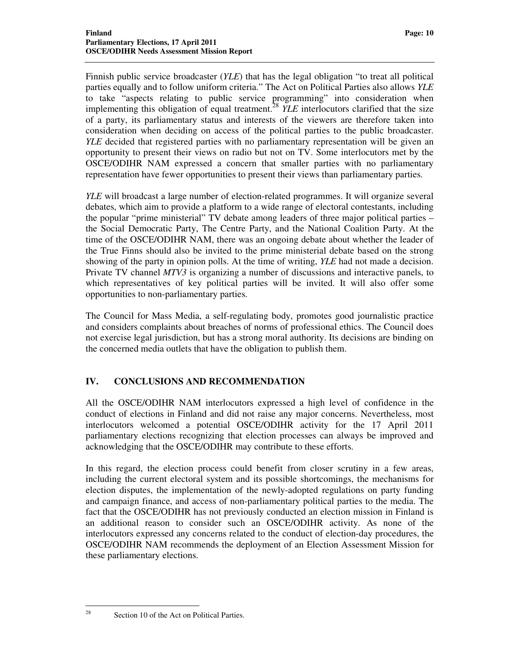Finnish public service broadcaster (*YLE*) that has the legal obligation "to treat all political parties equally and to follow uniform criteria." The Act on Political Parties also allows *YLE* to take "aspects relating to public service programming" into consideration when implementing this obligation of equal treatment.<sup>28</sup> *YLE* interlocutors clarified that the size of a party, its parliamentary status and interests of the viewers are therefore taken into consideration when deciding on access of the political parties to the public broadcaster. *YLE* decided that registered parties with no parliamentary representation will be given an opportunity to present their views on radio but not on TV. Some interlocutors met by the OSCE/ODIHR NAM expressed a concern that smaller parties with no parliamentary representation have fewer opportunities to present their views than parliamentary parties.

*YLE* will broadcast a large number of election-related programmes. It will organize several debates, which aim to provide a platform to a wide range of electoral contestants, including the popular "prime ministerial" TV debate among leaders of three major political parties – the Social Democratic Party, The Centre Party, and the National Coalition Party. At the time of the OSCE/ODIHR NAM, there was an ongoing debate about whether the leader of the True Finns should also be invited to the prime ministerial debate based on the strong showing of the party in opinion polls. At the time of writing, *YLE* had not made a decision. Private TV channel *MTV3* is organizing a number of discussions and interactive panels, to which representatives of key political parties will be invited. It will also offer some opportunities to non-parliamentary parties.

The Council for Mass Media, a self-regulating body, promotes good journalistic practice and considers complaints about breaches of norms of professional ethics. The Council does not exercise legal jurisdiction, but has a strong moral authority. Its decisions are binding on the concerned media outlets that have the obligation to publish them.

#### **IV. CONCLUSIONS AND RECOMMENDATION**

All the OSCE/ODIHR NAM interlocutors expressed a high level of confidence in the conduct of elections in Finland and did not raise any major concerns. Nevertheless, most interlocutors welcomed a potential OSCE/ODIHR activity for the 17 April 2011 parliamentary elections recognizing that election processes can always be improved and acknowledging that the OSCE/ODIHR may contribute to these efforts.

In this regard, the election process could benefit from closer scrutiny in a few areas, including the current electoral system and its possible shortcomings, the mechanisms for election disputes, the implementation of the newly-adopted regulations on party funding and campaign finance, and access of non-parliamentary political parties to the media. The fact that the OSCE/ODIHR has not previously conducted an election mission in Finland is an additional reason to consider such an OSCE/ODIHR activity. As none of the interlocutors expressed any concerns related to the conduct of election-day procedures, the OSCE/ODIHR NAM recommends the deployment of an Election Assessment Mission for these parliamentary elections.

28

Section 10 of the Act on Political Parties.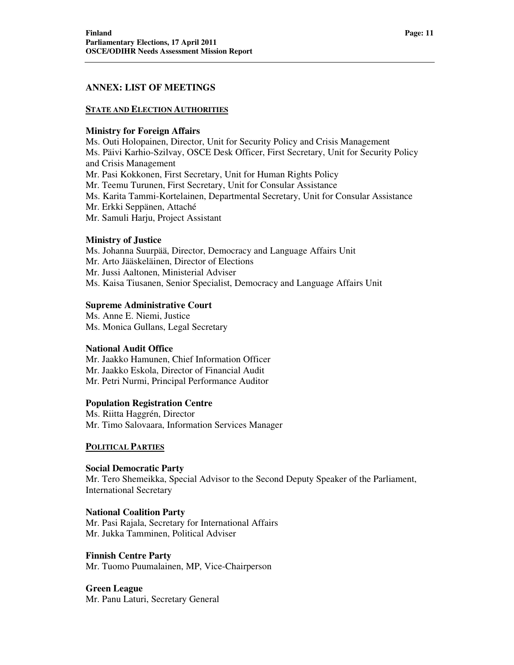### **ANNEX: LIST OF MEETINGS**

#### **STATE AND ELECTION AUTHORITIES**

#### **Ministry for Foreign Affairs**

Ms. Outi Holopainen, Director, Unit for Security Policy and Crisis Management Ms. Päivi Karhio-Szilvay, OSCE Desk Officer, First Secretary, Unit for Security Policy and Crisis Management Mr. Pasi Kokkonen, First Secretary, Unit for Human Rights Policy Mr. Teemu Turunen, First Secretary, Unit for Consular Assistance Ms. Karita Tammi-Kortelainen, Departmental Secretary, Unit for Consular Assistance Mr. Erkki Seppänen, Attaché Mr. Samuli Harju, Project Assistant

#### **Ministry of Justice**

Ms. Johanna Suurpää, Director, Democracy and Language Affairs Unit Mr. Arto Jääskeläinen, Director of Elections Mr. Jussi Aaltonen, Ministerial Adviser Ms. Kaisa Tiusanen, Senior Specialist, Democracy and Language Affairs Unit

# **Supreme Administrative Court**

Ms. Anne E. Niemi, Justice Ms. Monica Gullans, Legal Secretary

#### **National Audit Office**

Mr. Jaakko Hamunen, Chief Information Officer Mr. Jaakko Eskola, Director of Financial Audit Mr. Petri Nurmi, Principal Performance Auditor

#### **Population Registration Centre**

Ms. Riitta Haggrén, Director Mr. Timo Salovaara, Information Services Manager

#### **POLITICAL PARTIES**

**Social Democratic Party**  Mr. Tero Shemeikka, Special Advisor to the Second Deputy Speaker of the Parliament, International Secretary

**National Coalition Party**  Mr. Pasi Rajala, Secretary for International Affairs Mr. Jukka Tamminen, Political Adviser

**Finnish Centre Party**  Mr. Tuomo Puumalainen, MP, Vice-Chairperson

**Green League**  Mr. Panu Laturi, Secretary General